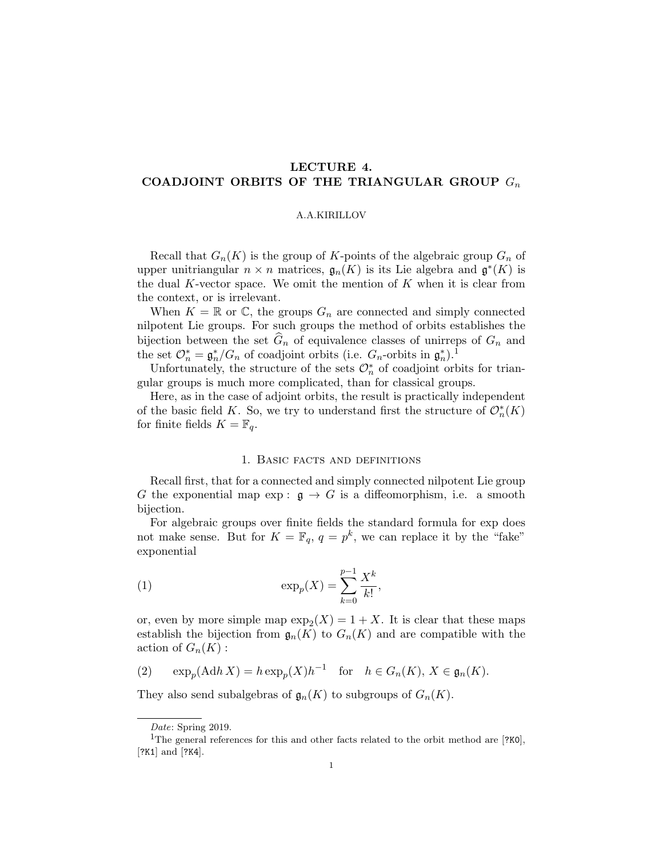# LECTURE 4. COADJOINT ORBITS OF THE TRIANGULAR GROUP  $G_n$

### A.A.KIRILLOV

Recall that  $G_n(K)$  is the group of K-points of the algebraic group  $G_n$  of upper unitriangular  $n \times n$  matrices,  $\mathfrak{g}_n(K)$  is its Lie algebra and  $\mathfrak{g}^*(K)$  is the dual K-vector space. We omit the mention of  $K$  when it is clear from the context, or is irrelevant.

When  $K = \mathbb{R}$  or  $\mathbb{C}$ , the groups  $G_n$  are connected and simply connected nilpotent Lie groups. For such groups the method of orbits establishes the bijection between the set  $G_n$  of equivalence classes of unirreps of  $G_n$  and the set  $\mathcal{O}_n^* = \mathfrak{g}_n^*/G_n$  of coadjoint orbits (i.e.  $G_n$ -orbits in  $\mathfrak{g}_n^*$ ).<sup>1</sup>

Unfortunately, the structure of the sets  $\mathcal{O}_n^*$  of coadjoint orbits for triangular groups is much more complicated, than for classical groups.

Here, as in the case of adjoint orbits, the result is practically independent of the basic field K. So, we try to understand first the structure of  $\mathcal{O}_n^*(K)$ for finite fields  $K = \mathbb{F}_q$ .

### 1. Basic facts and definitions

Recall first, that for a connected and simply connected nilpotent Lie group G the exponential map  $\exp: \mathfrak{g} \to G$  is a diffeomorphism, i.e. a smooth bijection.

For algebraic groups over finite fields the standard formula for exp does not make sense. But for  $K = \mathbb{F}_q$ ,  $q = p^k$ , we can replace it by the "fake" exponential

(1) 
$$
\exp_p(X) = \sum_{k=0}^{p-1} \frac{X^k}{k!},
$$

or, even by more simple map  $\exp_2(X) = 1 + X$ . It is clear that these maps establish the bijection from  $\mathfrak{g}_n(K)$  to  $G_n(K)$  and are compatible with the action of  $G_n(K)$  :

(2) 
$$
\exp_p(\text{Ad}h X) = h \exp_p(X) h^{-1} \text{ for } h \in G_n(K), X \in \mathfrak{g}_n(K).
$$

They also send subalgebras of  $\mathfrak{g}_n(K)$  to subgroups of  $G_n(K)$ .

Date: Spring 2019.

<sup>&</sup>lt;sup>1</sup>The general references for this and other facts related to the orbit method are  $[?K0]$ , [?K1] and [?K4].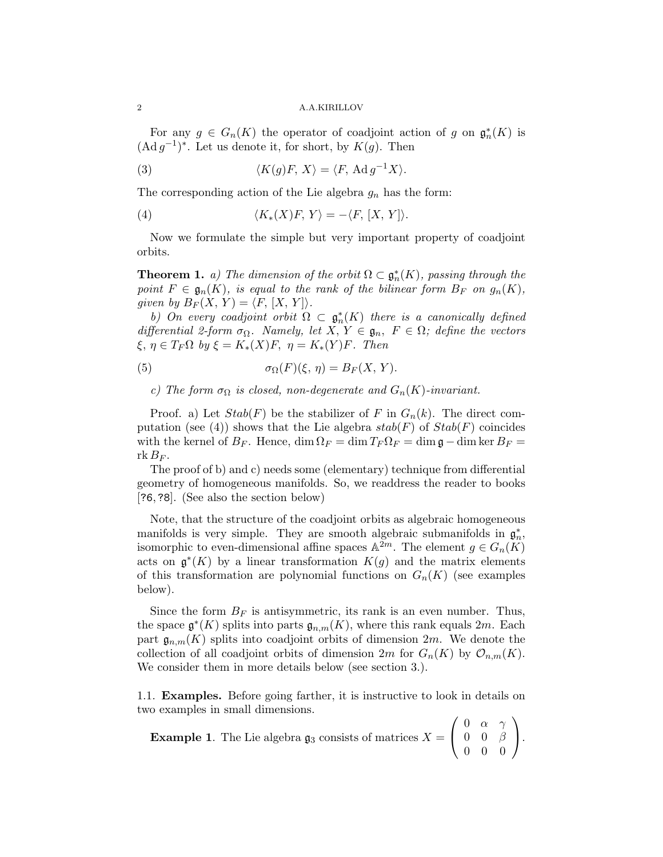2 A.A.KIRILLOV

For any  $g \in G_n(K)$  the operator of coadjoint action of g on  $\mathfrak{g}_n^*(K)$  is  $(\text{Ad }g^{-1})^*$ . Let us denote it, for short, by  $K(g)$ . Then

(3) 
$$
\langle K(g)F, X \rangle = \langle F, \operatorname{Ad} g^{-1} X \rangle.
$$

The corresponding action of the Lie algebra  $g_n$  has the form:

(4) 
$$
\langle K_*(X)F, Y \rangle = -\langle F, [X, Y] \rangle.
$$

Now we formulate the simple but very important property of coadjoint orbits.

**Theorem 1.** a) The dimension of the orbit  $\Omega \subset \mathfrak{g}_n^*(K)$ , passing through the point  $F \in \mathfrak{g}_n(K)$ , is equal to the rank of the bilinear form  $B_F$  on  $g_n(K)$ , given by  $B_F(X, Y) = \langle F, [X, Y] \rangle$ .

b) On every coadjoint orbit  $\Omega \subset \mathfrak{g}_n^*(K)$  there is a canonically defined differential 2-form  $\sigma_{\Omega}$ . Namely, let  $X, Y \in \mathfrak{g}_n$ ,  $F \in \Omega$ ; define the vectors  $\xi, \eta \in T_F\Omega$  by  $\xi = K_*(X)F, \eta = K_*(Y)F$ . Then

(5) 
$$
\sigma_{\Omega}(F)(\xi, \eta) = B_F(X, Y).
$$

c) The form  $\sigma_{\Omega}$  is closed, non-degenerate and  $G_n(K)$ -invariant.

Proof. a) Let  $Stab(F)$  be the stabilizer of F in  $G_n(k)$ . The direct computation (see (4)) shows that the Lie algebra  $stab(F)$  of  $Stab(F)$  coincides with the kernel of  $B_F$ . Hence,  $\dim \Omega_F = \dim T_F \Omega_F = \dim \mathfrak{g} - \dim \ker B_F =$  $rk B_F.$ 

The proof of b) and c) needs some (elementary) technique from differential geometry of homogeneous manifolds. So, we readdress the reader to books [?6,?8]. (See also the section below)

Note, that the structure of the coadjoint orbits as algebraic homogeneous manifolds is very simple. They are smooth algebraic submanifolds in  $\mathfrak{g}_n^*$ , isomorphic to even-dimensional affine spaces  $\mathbb{A}^{2m}$ . The element  $g \in G_n(K)$ acts on  $\mathfrak{g}^*(K)$  by a linear transformation  $K(g)$  and the matrix elements of this transformation are polynomial functions on  $G_n(K)$  (see examples below).

Since the form  $B_F$  is antisymmetric, its rank is an even number. Thus, the space  $\mathfrak{g}^*(K)$  splits into parts  $\mathfrak{g}_{n,m}(K)$ , where this rank equals  $2m$ . Each part  $\mathfrak{g}_{n,m}(K)$  splits into coadjoint orbits of dimension  $2m$ . We denote the collection of all coadjoint orbits of dimension  $2m$  for  $G_n(K)$  by  $\mathcal{O}_{n,m}(K)$ . We consider them in more details below (see section 3.).

1.1. Examples. Before going farther, it is instructive to look in details on two examples in small dimensions.

**Example 1.** The Lie algebra  $\mathfrak{g}_3$  consists of matrices  $X =$  $\sqrt{ }$  $\mathcal{L}$ 0  $\alpha$   $\gamma$  $0 \quad 0 \quad \beta$ 0 0 0  $\setminus$  $\cdot$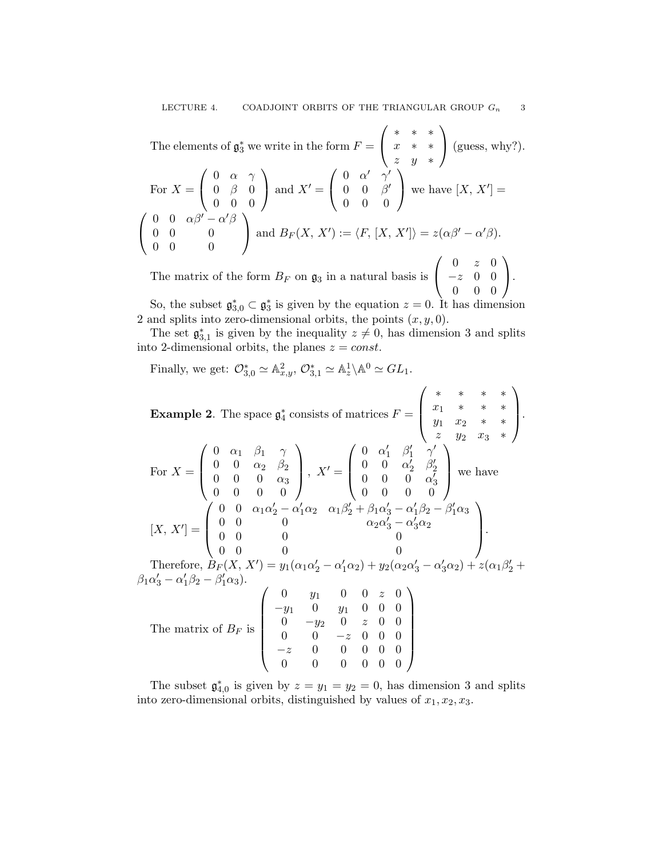The elements of 
$$
\mathfrak{g}_3^*
$$
 we write in the form  $F = \begin{pmatrix} * & * & * \\ x & * & * \\ z & y & * \end{pmatrix}$  (guess, why?).  
\nFor  $X = \begin{pmatrix} 0 & \alpha & \gamma \\ 0 & \beta & 0 \\ 0 & 0 & 0 \end{pmatrix}$  and  $X' = \begin{pmatrix} 0 & \alpha' & \gamma' \\ 0 & 0 & \beta' \\ 0 & 0 & 0 \end{pmatrix}$  we have  $[X, X'] = \begin{pmatrix} 0 & \alpha\beta' - \alpha'\beta \\ 0 & 0 & 0 \\ 0 & 0 & 0 \end{pmatrix}$  and  $B_F(X, X') := \langle F, [X, X'] \rangle = z(\alpha\beta' - \alpha'\beta)$ .

The matrix of the form  $B_F$  on  $\mathfrak{g}_3$  in a natural basis is  $\mathcal{L}$ −z 0 0 0 0 0  $\cdot$ So, the subset  $\mathfrak{g}_{3,0}^* \subset \mathfrak{g}_3^*$  is given by the equation  $z = 0$ . It has dimension

2 and splits into zero-dimensional orbits, the points  $(x, y, 0)$ .

The set  $\mathfrak{g}_{3,1}^*$  is given by the inequality  $z \neq 0$ , has dimension 3 and splits into 2-dimensional orbits, the planes  $z = const$ .

Finally, we get:  $\mathcal{O}_{3,0}^* \simeq \mathbb{A}^2_{x,y}, \mathcal{O}_{3,1}^* \simeq \mathbb{A}^1_z \backslash \mathbb{A}^0 \simeq GL_1$ .

Example 2. The space 
$$
\mathfrak{g}_4^*
$$
 consists of matrices  $F = \begin{pmatrix} * & * & * & * & * \\ x_1 & * & * & * & * \\ y_1 & x_2 & * & * \\ z & y_2 & x_3 & * \end{pmatrix}$ .  
\nFor  $X = \begin{pmatrix} 0 & \alpha_1 & \beta_1 & \gamma \\ 0 & 0 & \alpha_2 & \beta_2 \\ 0 & 0 & 0 & \alpha_3 \\ 0 & 0 & 0 & 0 \end{pmatrix}$ ,  $X' = \begin{pmatrix} 0 & \alpha'_1 & \beta'_1 & \gamma' \\ 0 & 0 & \alpha'_2 & \beta'_2 \\ 0 & 0 & 0 & \alpha'_3 \\ 0 & 0 & 0 & 0 \end{pmatrix}$  we have  
\n $[X, X'] = \begin{pmatrix} 0 & 0 & \alpha_1\alpha'_2 - \alpha'_1\alpha_2 & \alpha_1\beta'_2 + \beta_1\alpha'_3 - \alpha'_1\beta_2 - \beta'_1\alpha_3 \\ 0 & 0 & \alpha_2\alpha'_3 - \alpha'_3\alpha_2 \\ 0 & 0 & 0 & 0 \end{pmatrix}$ .  
\nTherefore,  $B_F(X, X') = y_1(\alpha_1\alpha'_2 - \alpha'_1\alpha_2) + y_2(\alpha_2\alpha'_3 - \alpha'_3\alpha_2) + z(\alpha_1\beta'_2 + \beta_1\alpha'_3 - \alpha'_1\beta_2 - \beta'_1\alpha_3)$ .  
\n $\beta_1\alpha'_3 - \alpha'_1\beta_2 - \beta'_1\alpha_3$ .  
\nThe matrix of  $B_F$  is  $\begin{pmatrix} 0 & y_1 & 0 & 0 & z & 0 \\ -y_1 & 0 & y_1 & 0 & 0 & 0 \\ 0 & -y_2 & 0 & z & 0 & 0 \\ 0 & 0 & -z & 0 & 0 & 0 \\ -z & 0 & 0 & 0 & 0 & 0 \end{pmatrix}$ 

The subset  $\mathfrak{g}_{4,0}^*$  is given by  $z = y_1 = y_2 = 0$ , has dimension 3 and splits into zero-dimensional orbits, distinguished by values of  $x_1, x_2, x_3$ .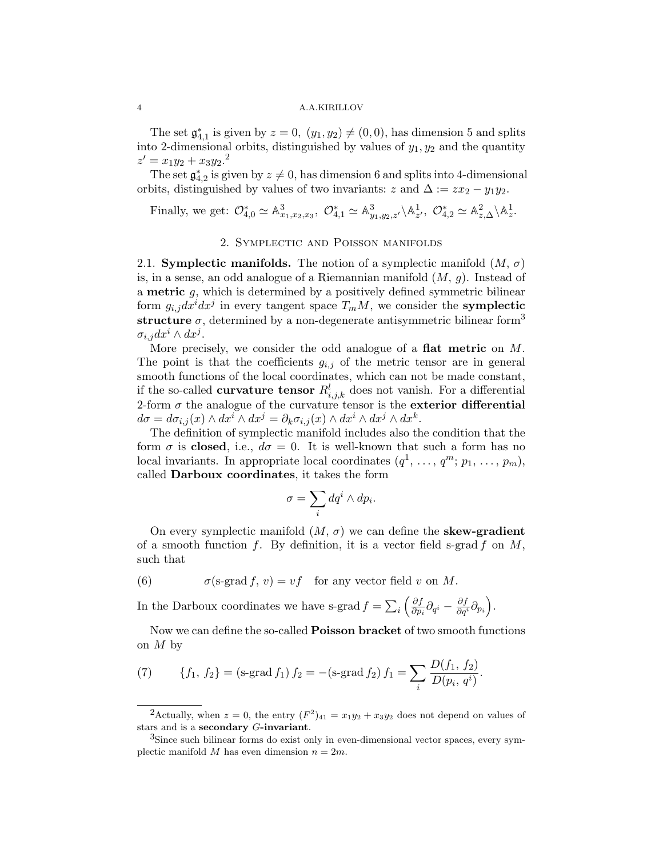#### 4 A.A.KIRILLOV

The set  $\mathfrak{g}_{4,1}^*$  is given by  $z = 0$ ,  $(y_1, y_2) \neq (0, 0)$ , has dimension 5 and splits into 2-dimensional orbits, distinguished by values of  $y_1, y_2$  and the quantity  $z' = x_1y_2 + x_3y_2$ <sup>2</sup>

The set  $\mathfrak{g}_{4,2}^*$  is given by  $z \neq 0$ , has dimension 6 and splits into 4-dimensional orbits, distinguished by values of two invariants: z and  $\Delta := zx_2 - y_1y_2$ .

Finally, we get:  $\mathcal{O}_{4,0}^* \simeq \mathbb{A}_{x_1,x_2,x_3}^3$ ,  $\mathcal{O}_{4,1}^* \simeq \mathbb{A}_{y_1,y_2,z'}^3 \setminus \mathbb{A}_{z'}^1$ ,  $\mathcal{O}_{4,2}^* \simeq \mathbb{A}_{z,\Delta}^2 \setminus \mathbb{A}_z^1$ .

## 2. Symplectic and Poisson manifolds

2.1. Symplectic manifolds. The notion of a symplectic manifold  $(M, \sigma)$ is, in a sense, an odd analogue of a Riemannian manifold  $(M, g)$ . Instead of a metric g, which is determined by a positively defined symmetric bilinear form  $g_{i,j}dx^idx^j$  in every tangent space  $T_mM$ , we consider the **symplectic** structure  $\sigma$ , determined by a non-degenerate antisymmetric bilinear form<sup>3</sup>  $\sigma_{i,j}dx^i\wedge dx^j$ .

More precisely, we consider the odd analogue of a flat metric on M. The point is that the coefficients  $g_{i,j}$  of the metric tensor are in general smooth functions of the local coordinates, which can not be made constant, if the so-called **curvature tensor**  $R_{i,j,k}^l$  does not vanish. For a differential 2-form  $\sigma$  the analogue of the curvature tensor is the exterior differential  $d\sigma = d\sigma_{i,j}(x) \wedge dx^i \wedge dx^j = \partial_k \sigma_{i,j}(x) \wedge dx^i \wedge dx^j \wedge dx^k.$ 

The definition of symplectic manifold includes also the condition that the form  $\sigma$  is closed, i.e.,  $d\sigma = 0$ . It is well-known that such a form has no local invariants. In appropriate local coordinates  $(q^1, \ldots, q^m; p_1, \ldots, p_m)$ , called Darboux coordinates, it takes the form

$$
\sigma = \sum_i dq^i \wedge dp_i.
$$

On every symplectic manifold  $(M, \sigma)$  we can define the **skew-gradient** of a smooth function f. By definition, it is a vector field s-grad f on  $M$ , such that

(6)  $\sigma$ (s-grad f, v) = vf for any vector field v on M.

In the Darboux coordinates we have s-grad  $f = \sum_i \left(\frac{\partial f}{\partial p}\right)$  $\frac{\partial f}{\partial p_i}\partial_{q^i}-\frac{\partial f}{\partial q^i}\partial_{p_i}\Big).$ 

Now we can define the so-called Poisson bracket of two smooth functions on  $M$  by

(7) 
$$
\{f_1, f_2\} = (\text{s-grad } f_1) f_2 = -(\text{s-grad } f_2) f_1 = \sum_i \frac{D(f_1, f_2)}{D(p_i, q^i)}.
$$

<sup>&</sup>lt;sup>2</sup>Actually, when  $z = 0$ , the entry  $(F^2)_{41} = x_1y_2 + x_3y_2$  does not depend on values of stars and is a secondary G-invariant.

<sup>&</sup>lt;sup>3</sup>Since such bilinear forms do exist only in even-dimensional vector spaces, every symplectic manifold M has even dimension  $n = 2m$ .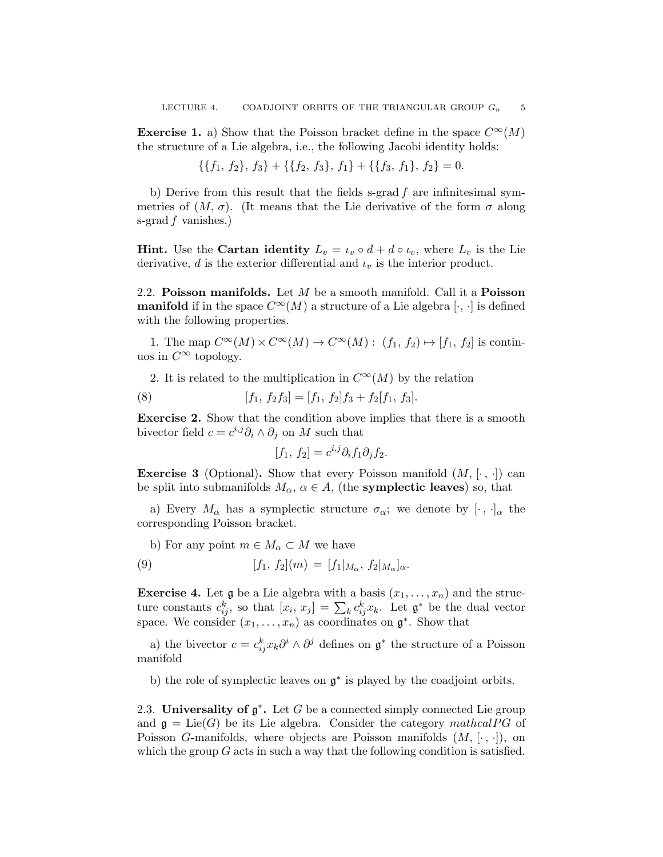**Exercise 1.** a) Show that the Poisson bracket define in the space  $C^{\infty}(M)$ the structure of a Lie algebra, i.e., the following Jacobi identity holds:

$$
\{\{f_1, f_2\}, f_3\} + \{\{f_2, f_3\}, f_1\} + \{\{f_3, f_1\}, f_2\} = 0.
$$

b) Derive from this result that the fields s-grad  $f$  are infinitesimal symmetries of  $(M, \sigma)$ . (It means that the Lie derivative of the form  $\sigma$  along s-grad  $f$  vanishes.)

**Hint.** Use the **Cartan identity**  $L_v = \iota_v \circ d + d \circ \iota_v$ , where  $L_v$  is the Lie derivative, d is the exterior differential and  $\iota_v$  is the interior product.

2.2. Poisson manifolds. Let  $M$  be a smooth manifold. Call it a Poisson **manifold** if in the space  $C^{\infty}(M)$  a structure of a Lie algebra [ $\cdot$ ,  $\cdot$ ] is defined with the following properties.

1. The map  $C^{\infty}(M) \times C^{\infty}(M) \to C^{\infty}(M)$ :  $(f_1, f_2) \mapsto [f_1, f_2]$  is continuos in  $C^{\infty}$  topology.

2. It is related to the multiplication in  $C^{\infty}(M)$  by the relation

(8) 
$$
[f_1, f_2f_3] = [f_1, f_2]f_3 + f_2[f_1, f_3].
$$

Exercise 2. Show that the condition above implies that there is a smooth bivector field  $c = c^{i,j} \partial_i \wedge \partial_j$  on M such that

$$
[f_1, f_2] = c^{i,j} \partial_i f_1 \partial_j f_2.
$$

**Exercise 3** (Optional). Show that every Poisson manifold  $(M, [\cdot, \cdot])$  can be split into submanifolds  $M_{\alpha}$ ,  $\alpha \in A$ , (the **symplectic leaves**) so, that

a) Every  $M_{\alpha}$  has a symplectic structure  $\sigma_{\alpha}$ ; we denote by  $[\cdot, \cdot]_{\alpha}$  the corresponding Poisson bracket.

b) For any point  $m \in M_\alpha \subset M$  we have

(9) 
$$
[f_1, f_2](m) = [f_1|_{M_\alpha}, f_2|_{M_\alpha}]_{\alpha}.
$$

**Exercise 4.** Let  $\mathfrak{g}$  be a Lie algebra with a basis  $(x_1, \ldots, x_n)$  and the structure constants  $c_{ij}^k$ , so that  $[x_i, x_j] = \sum_k c_{ij}^k x_k$ . Let  $\mathfrak{g}^*$  be the dual vector space. We consider  $(x_1, \ldots, x_n)$  as coordinates on  $\mathfrak{g}^*$ . Show that

a) the bivector  $c = c_{ij}^k x_k \partial^i \wedge \partial^j$  defines on  $\mathfrak{g}^*$  the structure of a Poisson manifold

b) the role of symplectic leaves on  $\mathfrak{g}^*$  is played by the coadjoint orbits.

2.3. Universality of  $\mathfrak{g}^*$ . Let G be a connected simply connected Lie group and  $\mathfrak{g} = \text{Lie}(G)$  be its Lie algebra. Consider the category mathcal PG of Poisson G-manifolds, where objects are Poisson manifolds  $(M, [\cdot, \cdot])$ , on which the group  $G$  acts in such a way that the following condition is satisfied.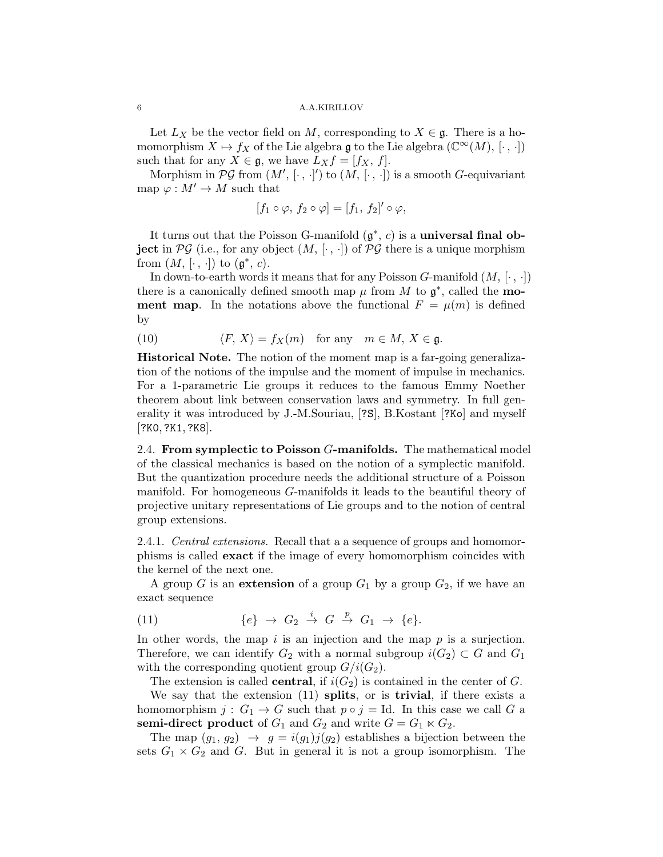Let  $L_X$  be the vector field on M, corresponding to  $X \in \mathfrak{g}$ . There is a homomorphism  $X \mapsto f_X$  of the Lie algebra  $\mathfrak g$  to the Lie algebra  $(\mathbb C^\infty(M), [\cdot, \cdot])$ such that for any  $X \in \mathfrak{g}$ , we have  $L_X f = [f_X, f]$ .

Morphism in  $\mathcal{PG}$  from  $(M', [\cdot, \cdot]')$  to  $(M, [\cdot, \cdot])$  is a smooth G-equivariant map  $\varphi : M' \to M$  such that

$$
[f_1 \circ \varphi, f_2 \circ \varphi] = [f_1, f_2]' \circ \varphi,
$$

It turns out that the Poisson G-manifold  $(\mathfrak{g}^*, c)$  is a **universal final ob**ject in  $\mathcal{PG}$  (i.e., for any object  $(M, [\cdot, \cdot])$  of  $\mathcal{PG}$  there is a unique morphism from  $(M, [\cdot, \cdot])$  to  $(\mathfrak{g}^*, c)$ .

In down-to-earth words it means that for any Poisson G-manifold  $(M, [\cdot, \cdot])$ there is a canonically defined smooth map  $\mu$  from M to  $\mathfrak{g}^*$ , called the **moment map.** In the notations above the functional  $F = \mu(m)$  is defined by

(10) 
$$
\langle F, X \rangle = f_X(m) \text{ for any } m \in M, X \in \mathfrak{g}.
$$

Historical Note. The notion of the moment map is a far-going generalization of the notions of the impulse and the moment of impulse in mechanics. For a 1-parametric Lie groups it reduces to the famous Emmy Noether theorem about link between conservation laws and symmetry. In full generality it was introduced by J.-M.Souriau, [?S], B.Kostant [?Ko] and myself [?K0,?K1,?K8].

2.4. From symplectic to Poisson G-manifolds. The mathematical model of the classical mechanics is based on the notion of a symplectic manifold. But the quantization procedure needs the additional structure of a Poisson manifold. For homogeneous G-manifolds it leads to the beautiful theory of projective unitary representations of Lie groups and to the notion of central group extensions.

2.4.1. *Central extensions*. Recall that a a sequence of groups and homomorphisms is called exact if the image of every homomorphism coincides with the kernel of the next one.

A group G is an extension of a group  $G_1$  by a group  $G_2$ , if we have an exact sequence

(11) 
$$
\{e\} \rightarrow G_2 \stackrel{i}{\rightarrow} G \stackrel{p}{\rightarrow} G_1 \rightarrow \{e\}.
$$

In other words, the map i is an injection and the map  $p$  is a surjection. Therefore, we can identify  $G_2$  with a normal subgroup  $i(G_2) \subset G$  and  $G_1$ with the corresponding quotient group  $G/i(G_2)$ .

The extension is called **central**, if  $i(G_2)$  is contained in the center of G.

We say that the extension (11) splits, or is trivial, if there exists a homomorphism  $j: G_1 \to G$  such that  $p \circ j = Id$ . In this case we call G a semi-direct product of  $G_1$  and  $G_2$  and write  $G = G_1 \ltimes G_2$ .

The map  $(g_1, g_2) \rightarrow g = i(g_1)j(g_2)$  establishes a bijection between the sets  $G_1 \times G_2$  and G. But in general it is not a group isomorphism. The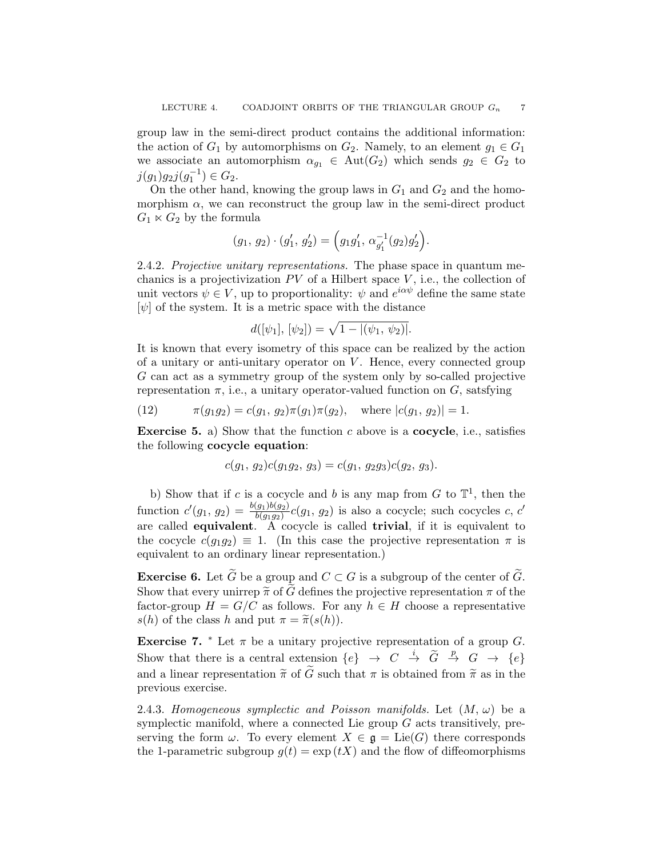group law in the semi-direct product contains the additional information: the action of  $G_1$  by automorphisms on  $G_2$ . Namely, to an element  $g_1 \in G_1$ we associate an automorphism  $\alpha_{g_1} \in \text{Aut}(G_2)$  which sends  $g_2 \in G_2$  to  $j(g_1)g_2j(g_1^{-1}) \in G_2.$ 

On the other hand, knowing the group laws in  $G_1$  and  $G_2$  and the homomorphism  $\alpha$ , we can reconstruct the group law in the semi-direct product  $G_1 \ltimes G_2$  by the formula

$$
(g_1, g_2) \cdot (g'_1, g'_2) = (g_1g'_1, \alpha_{g'_1}^{-1}(g_2)g'_2).
$$

2.4.2. Projective unitary representations. The phase space in quantum mechanics is a projectivization  $PV$  of a Hilbert space  $V$ , i.e., the collection of unit vectors  $\psi \in V$ , up to proportionality:  $\psi$  and  $e^{i\alpha\psi}$  define the same state  $[\psi]$  of the system. It is a metric space with the distance

$$
d([\psi_1], [\psi_2]) = \sqrt{1 - |(\psi_1, \psi_2)|}.
$$

It is known that every isometry of this space can be realized by the action of a unitary or anti-unitary operator on  $V$ . Hence, every connected group G can act as a symmetry group of the system only by so-called projective representation  $\pi$ , i.e., a unitary operator-valued function on G, satsfying

(12) 
$$
\pi(g_1g_2) = c(g_1, g_2)\pi(g_1)\pi(g_2), \text{ where } |c(g_1, g_2)| = 1.
$$

**Exercise 5.** a) Show that the function c above is a **cocycle**, i.e., satisfies the following cocycle equation:

$$
c(g_1, g_2)c(g_1g_2, g_3) = c(g_1, g_2g_3)c(g_2, g_3).
$$

b) Show that if c is a cocycle and b is any map from  $G$  to  $\mathbb{T}^1$ , then the function  $c'(g_1, g_2) = \frac{b(g_1)b(g_2)}{b(g_1g_2)}c(g_1, g_2)$  is also a cocycle; such cocycles c, c' are called **equivalent**.  $\tilde{A}$  cocycle is called **trivial**, if it is equivalent to the cocycle  $c(g_1g_2) \equiv 1$ . (In this case the projective representation  $\pi$  is equivalent to an ordinary linear representation.)

**Exercise 6.** Let  $\widetilde{G}$  be a group and  $C \subset G$  is a subgroup of the center of  $\widetilde{G}$ . Show that every unirrep  $\tilde{\pi}$  of  $\tilde{G}$  defines the projective representation  $\pi$  of the factor-group  $H = G/C$  as follows. For any  $h \in H$  choose a representative  $s(h)$  of the class h and put  $\pi = \tilde{\pi}(s(h)).$ 

Exercise 7.  $*$  Let  $\pi$  be a unitary projective representation of a group G. Show that there is a central extension  $\{e\} \rightarrow C \stackrel{i}{\rightarrow} \tilde{G} \stackrel{p}{\rightarrow} G \rightarrow \{e\}$ and a linear representation  $\tilde{\pi}$  of  $\tilde{G}$  such that  $\pi$  is obtained from  $\tilde{\pi}$  as in the previous exercise.

2.4.3. Homogeneous symplectic and Poisson manifolds. Let  $(M, \omega)$  be a symplectic manifold, where a connected Lie group G acts transitively, preserving the form  $\omega$ . To every element  $X \in \mathfrak{g} = \text{Lie}(G)$  there corresponds the 1-parametric subgroup  $q(t) = \exp(t)$  and the flow of diffeomorphisms